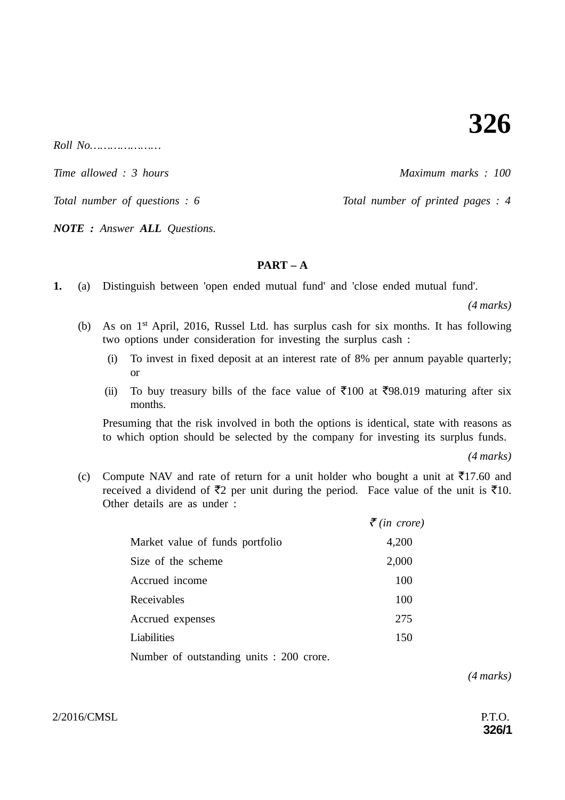*Roll No…………………*

*Time allowed : 3 hours* Allows 3 hours and the Maximum marks : 100

*Total number of questions : 6* Total number of printed pages : 4

*NOTE : Answer ALL Questions.*

**PART – A**

**1.** (a) Distinguish between 'open ended mutual fund' and 'close ended mutual fund'.

*(4 marks)*

- (b) As on 1st April, 2016, Russel Ltd. has surplus cash for six months. It has following two options under consideration for investing the surplus cash :
	- (i) To invest in fixed deposit at an interest rate of 8% per annum payable quarterly; or
	- (ii) To buy treasury bills of the face value of  $\overline{5}100$  at  $\overline{5}98.019$  maturing after six months.

Presuming that the risk involved in both the options is identical, state with reasons as to which option should be selected by the company for investing its surplus funds.

*(4 marks)*

(c) Compute NAV and rate of return for a unit holder who bought a unit at  $\overline{5}17.60$  and received a dividend of  $\bar{\tau}_2$  per unit during the period. Face value of the unit is  $\bar{\tau}_1$ 10. Other details are as under :

|                                 | $\bar{\mathcal{F}}$ (in crore) |
|---------------------------------|--------------------------------|
| Market value of funds portfolio | 4,200                          |
| Size of the scheme              | 2,000                          |
| Accrued income                  | 100                            |
| Receivables                     | 100                            |
| Accrued expenses                | 275                            |
| Liabilities                     | 150                            |
|                                 |                                |

Number of outstanding units : 200 crore.

*(4 marks)*

2/2016/CMSL P.T.O.

**326/1**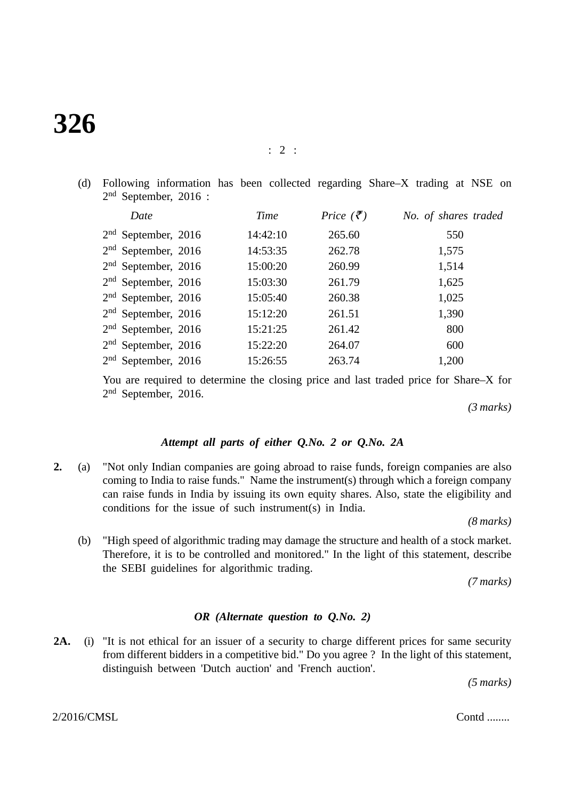# **326**

(d) Following information has been collected regarding Share–X trading at NSE on 2nd September, 2016 :

|                 | Date                  | Time     | Price $(\bar{\zeta})$ | No. of shares traded |
|-----------------|-----------------------|----------|-----------------------|----------------------|
|                 | $2nd$ September, 2016 | 14:42:10 | 265.60                | 550                  |
|                 | $2nd$ September, 2016 | 14:53:35 | 262.78                | 1,575                |
|                 | $2nd$ September, 2016 | 15:00:20 | 260.99                | 1,514                |
|                 | $2nd$ September, 2016 | 15:03:30 | 261.79                | 1,625                |
|                 | $2nd$ September, 2016 | 15:05:40 | 260.38                | 1,025                |
|                 | $2nd$ September, 2016 | 15:12:20 | 261.51                | 1,390                |
|                 | $2nd$ September, 2016 | 15:21:25 | 261.42                | 800                  |
|                 | $2nd$ September, 2016 | 15:22:20 | 264.07                | 600                  |
| 2 <sup>nd</sup> | September, 2016       | 15:26:55 | 263.74                | 1,200                |

You are required to determine the closing price and last traded price for Share–X for 2nd September, 2016.

*(3 marks)*

## *Attempt all parts of either Q.No. 2 or Q.No. 2A*

**2.** (a) "Not only Indian companies are going abroad to raise funds, foreign companies are also coming to India to raise funds." Name the instrument(s) through which a foreign company can raise funds in India by issuing its own equity shares. Also, state the eligibility and conditions for the issue of such instrument(s) in India.

*(8 marks)*

(b) "High speed of algorithmic trading may damage the structure and health of a stock market. Therefore, it is to be controlled and monitored." In the light of this statement, describe the SEBI guidelines for algorithmic trading.

*(7 marks)*

### *OR (Alternate question to Q.No. 2)*

**2A.** (i) "It is not ethical for an issuer of a security to charge different prices for same security from different bidders in a competitive bid." Do you agree ? In the light of this statement, distinguish between 'Dutch auction' and 'French auction'.

*(5 marks)*

 $2/2016/CMSL$  Contd ........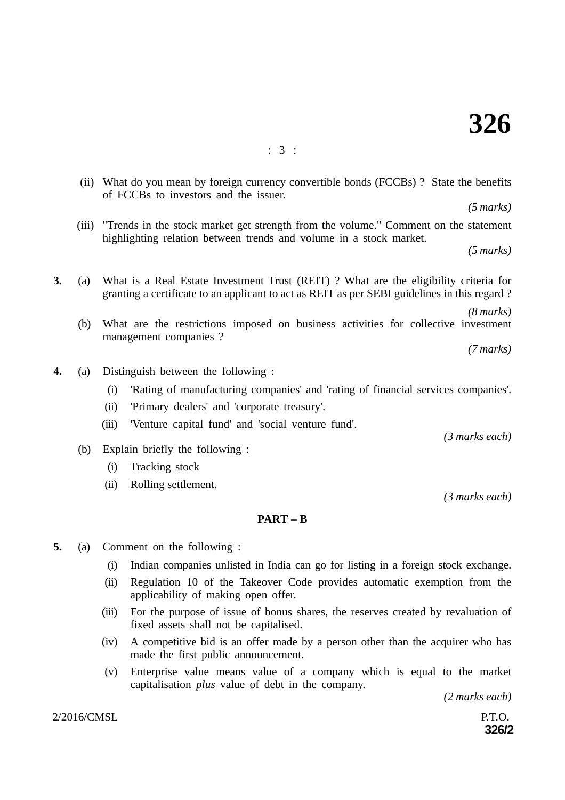(ii) What do you mean by foreign currency convertible bonds (FCCBs) ? State the benefits of FCCBs to investors and the issuer.

*(5 marks)*

 (iii) "Trends in the stock market get strength from the volume." Comment on the statement highlighting relation between trends and volume in a stock market.

*(5 marks)*

- **3.** (a) What is a Real Estate Investment Trust (REIT) ? What are the eligibility criteria for granting a certificate to an applicant to act as REIT as per SEBI guidelines in this regard ?
	- *(8 marks)* (b) What are the restrictions imposed on business activities for collective investment management companies ?

*(7 marks)*

- **4.** (a) Distinguish between the following :
	- (i) 'Rating of manufacturing companies' and 'rating of financial services companies'.
	- (ii) 'Primary dealers' and 'corporate treasury'.
	- (iii) 'Venture capital fund' and 'social venture fund'.
	- (b) Explain briefly the following :
		- (i) Tracking stock
		- (ii) Rolling settlement.

#### **PART – B**

- **5.** (a) Comment on the following :
	- (i) Indian companies unlisted in India can go for listing in a foreign stock exchange.
	- (ii) Regulation 10 of the Takeover Code provides automatic exemption from the applicability of making open offer.
	- (iii) For the purpose of issue of bonus shares, the reserves created by revaluation of fixed assets shall not be capitalised.
	- (iv) A competitive bid is an offer made by a person other than the acquirer who has made the first public announcement.
	- (v) Enterprise value means value of a company which is equal to the market capitalisation *plus* value of debt in the company.

*(2 marks each)*

**326/2**

 $2/2016/\text{CMSL}$  P.T.O.

*(3 marks each)*

*(3 marks each)*